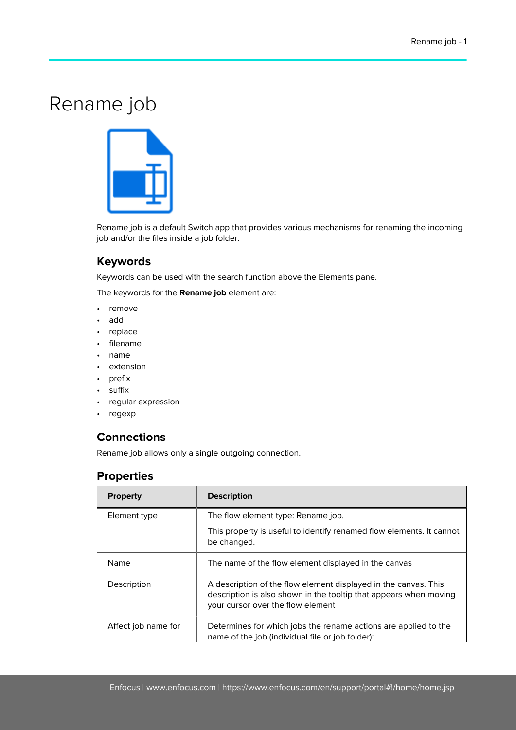# Rename job



Rename job is a default Switch app that provides various mechanisms for renaming the incoming job and/or the files inside a job folder.

#### **Keywords**

Keywords can be used with the search function above the Elements pane.

The keywords for the **Rename job** element are:

- remove
- add
- replace
- filename
- name
- extension
- prefix
- suffix
- regular expression
- regexp

#### **Connections**

Rename job allows only a single outgoing connection.

### **Properties**

| <b>Property</b>     | <b>Description</b>                                                                                                                                                        |
|---------------------|---------------------------------------------------------------------------------------------------------------------------------------------------------------------------|
| Element type        | The flow element type: Rename job.                                                                                                                                        |
|                     | This property is useful to identify renamed flow elements. It cannot<br>be changed.                                                                                       |
| Name                | The name of the flow element displayed in the canvas                                                                                                                      |
| Description         | A description of the flow element displayed in the canvas. This<br>description is also shown in the tooltip that appears when moving<br>your cursor over the flow element |
| Affect job name for | Determines for which jobs the rename actions are applied to the<br>name of the job (individual file or job folder):                                                       |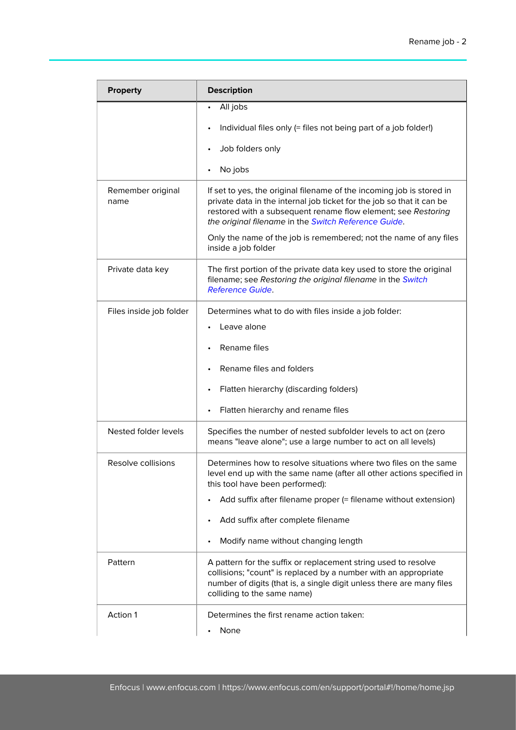| <b>Property</b>           | <b>Description</b>                                                                                                                                                                                                                                                      |
|---------------------------|-------------------------------------------------------------------------------------------------------------------------------------------------------------------------------------------------------------------------------------------------------------------------|
|                           | All jobs<br>$\bullet$<br>Individual files only (= files not being part of a job folder!)<br>Job folders only                                                                                                                                                            |
|                           | No jobs                                                                                                                                                                                                                                                                 |
| Remember original<br>name | If set to yes, the original filename of the incoming job is stored in<br>private data in the internal job ticket for the job so that it can be<br>restored with a subsequent rename flow element; see Restoring<br>the original filename in the Switch Reference Guide. |
|                           | Only the name of the job is remembered; not the name of any files<br>inside a job folder                                                                                                                                                                                |
| Private data key          | The first portion of the private data key used to store the original<br>filename; see Restoring the original filename in the Switch<br><b>Reference Guide.</b>                                                                                                          |
| Files inside job folder   | Determines what to do with files inside a job folder:                                                                                                                                                                                                                   |
|                           | Leave alone                                                                                                                                                                                                                                                             |
|                           | Rename files                                                                                                                                                                                                                                                            |
|                           | Rename files and folders                                                                                                                                                                                                                                                |
|                           | Flatten hierarchy (discarding folders)                                                                                                                                                                                                                                  |
|                           | Flatten hierarchy and rename files                                                                                                                                                                                                                                      |
| Nested folder levels      | Specifies the number of nested subfolder levels to act on (zero<br>means "leave alone"; use a large number to act on all levels)                                                                                                                                        |
| Resolve collisions        | Determines how to resolve situations where two files on the same<br>level end up with the same name (after all other actions specified in<br>this tool have been performed):                                                                                            |
|                           | Add suffix after filename proper (= filename without extension)                                                                                                                                                                                                         |
|                           | Add suffix after complete filename                                                                                                                                                                                                                                      |
|                           | Modify name without changing length                                                                                                                                                                                                                                     |
| Pattern                   | A pattern for the suffix or replacement string used to resolve<br>collisions; "count" is replaced by a number with an appropriate<br>number of digits (that is, a single digit unless there are many files<br>colliding to the same name)                               |
| Action 1                  | Determines the first rename action taken:<br>None                                                                                                                                                                                                                       |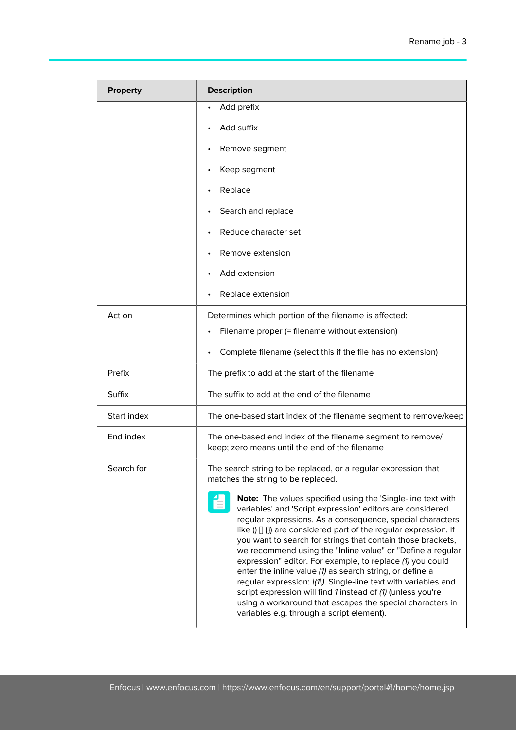| <b>Property</b> | <b>Description</b>                                                                                                                                                                                                                                                                                                                                                                                                                                                                                                                                                                                                                                                                                                                                            |
|-----------------|---------------------------------------------------------------------------------------------------------------------------------------------------------------------------------------------------------------------------------------------------------------------------------------------------------------------------------------------------------------------------------------------------------------------------------------------------------------------------------------------------------------------------------------------------------------------------------------------------------------------------------------------------------------------------------------------------------------------------------------------------------------|
|                 | Add prefix<br>$\bullet$                                                                                                                                                                                                                                                                                                                                                                                                                                                                                                                                                                                                                                                                                                                                       |
|                 | Add suffix                                                                                                                                                                                                                                                                                                                                                                                                                                                                                                                                                                                                                                                                                                                                                    |
|                 | Remove segment                                                                                                                                                                                                                                                                                                                                                                                                                                                                                                                                                                                                                                                                                                                                                |
|                 | Keep segment                                                                                                                                                                                                                                                                                                                                                                                                                                                                                                                                                                                                                                                                                                                                                  |
|                 | Replace                                                                                                                                                                                                                                                                                                                                                                                                                                                                                                                                                                                                                                                                                                                                                       |
|                 | Search and replace                                                                                                                                                                                                                                                                                                                                                                                                                                                                                                                                                                                                                                                                                                                                            |
|                 | Reduce character set                                                                                                                                                                                                                                                                                                                                                                                                                                                                                                                                                                                                                                                                                                                                          |
|                 | Remove extension                                                                                                                                                                                                                                                                                                                                                                                                                                                                                                                                                                                                                                                                                                                                              |
|                 | Add extension                                                                                                                                                                                                                                                                                                                                                                                                                                                                                                                                                                                                                                                                                                                                                 |
|                 | Replace extension                                                                                                                                                                                                                                                                                                                                                                                                                                                                                                                                                                                                                                                                                                                                             |
| Act on          | Determines which portion of the filename is affected:                                                                                                                                                                                                                                                                                                                                                                                                                                                                                                                                                                                                                                                                                                         |
|                 | Filename proper (= filename without extension)                                                                                                                                                                                                                                                                                                                                                                                                                                                                                                                                                                                                                                                                                                                |
|                 | Complete filename (select this if the file has no extension)                                                                                                                                                                                                                                                                                                                                                                                                                                                                                                                                                                                                                                                                                                  |
| Prefix          | The prefix to add at the start of the filename                                                                                                                                                                                                                                                                                                                                                                                                                                                                                                                                                                                                                                                                                                                |
| Suffix          | The suffix to add at the end of the filename                                                                                                                                                                                                                                                                                                                                                                                                                                                                                                                                                                                                                                                                                                                  |
| Start index     | The one-based start index of the filename segment to remove/keep                                                                                                                                                                                                                                                                                                                                                                                                                                                                                                                                                                                                                                                                                              |
| End index       | The one-based end index of the filename segment to remove/<br>keep; zero means until the end of the filename                                                                                                                                                                                                                                                                                                                                                                                                                                                                                                                                                                                                                                                  |
| Search for      | The search string to be replaced, or a regular expression that<br>matches the string to be replaced.                                                                                                                                                                                                                                                                                                                                                                                                                                                                                                                                                                                                                                                          |
|                 | Note: The values specified using the 'Single-line text with<br>variables' and 'Script expression' editors are considered<br>regular expressions. As a consequence, special characters<br>like $( ) [ ] \}$ are considered part of the regular expression. If<br>you want to search for strings that contain those brackets,<br>we recommend using the "Inline value" or "Define a regular<br>expression" editor. For example, to replace (1) you could<br>enter the inline value (1) as search string, or define a<br>regular expression: \(1\). Single-line text with variables and<br>script expression will find 1 instead of (1) (unless you're<br>using a workaround that escapes the special characters in<br>variables e.g. through a script element). |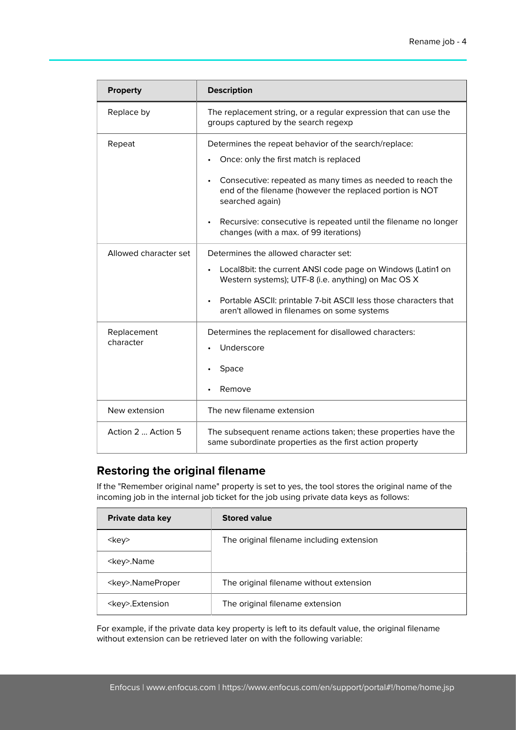| <b>Property</b>          | <b>Description</b>                                                                                                                                                                                                                                                                                                                                                                  |
|--------------------------|-------------------------------------------------------------------------------------------------------------------------------------------------------------------------------------------------------------------------------------------------------------------------------------------------------------------------------------------------------------------------------------|
| Replace by               | The replacement string, or a regular expression that can use the<br>groups captured by the search regexp                                                                                                                                                                                                                                                                            |
| Repeat                   | Determines the repeat behavior of the search/replace:<br>Once: only the first match is replaced<br>Consecutive: repeated as many times as needed to reach the<br>$\bullet$<br>end of the filename (however the replaced portion is NOT<br>searched again)<br>Recursive: consecutive is repeated until the filename no longer<br>$\bullet$<br>changes (with a max. of 99 iterations) |
| Allowed character set    | Determines the allowed character set:<br>Local8bit: the current ANSI code page on Windows (Latin1 on<br>$\bullet$<br>Western systems); UTF-8 (i.e. anything) on Mac OS X<br>Portable ASCII: printable 7-bit ASCII less those characters that<br>$\bullet$<br>aren't allowed in filenames on some systems                                                                            |
| Replacement<br>character | Determines the replacement for disallowed characters:<br>Underscore<br>Space<br>Remove                                                                                                                                                                                                                                                                                              |
| New extension            | The new filename extension                                                                                                                                                                                                                                                                                                                                                          |
| Action 2  Action 5       | The subsequent rename actions taken; these properties have the<br>same subordinate properties as the first action property                                                                                                                                                                                                                                                          |

## **Restoring the original filename**

If the "Remember original name" property is set to yes, the tool stores the original name of the incoming job in the internal job ticket for the job using private data keys as follows:

| Private data key       | <b>Stored value</b>                       |
|------------------------|-------------------------------------------|
| <kev></kev>            | The original filename including extension |
| <key>.Name</key>       |                                           |
| <key>.NameProper</key> | The original filename without extension   |
| <key>.Extension</key>  | The original filename extension           |

For example, if the private data key property is left to its default value, the original filename without extension can be retrieved later on with the following variable: